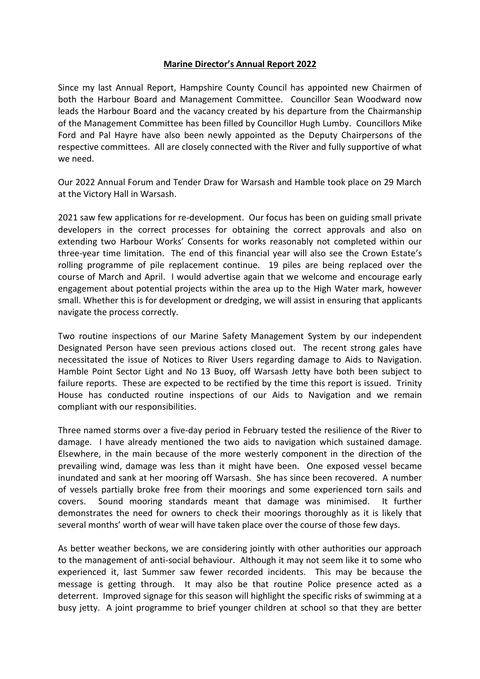## **Marine Director's Annual Report 2022**

Since my last Annual Report, Hampshire County Council has appointed new Chairmen of both the Harbour Board and Management Committee. Councillor Sean Woodward now leads the Harbour Board and the vacancy created by his departure from the Chairmanship of the Management Committee has been filled by Councillor Hugh Lumby. Councillors Mike Ford and Pal Hayre have also been newly appointed as the Deputy Chairpersons of the respective committees. All are closely connected with the River and fully supportive of what we need.

Our 2022 Annual Forum and Tender Draw for Warsash and Hamble took place on 29 March at the Victory Hall in Warsash.

2021 saw few applications for re-development. Our focus has been on guiding small private developers in the correct processes for obtaining the correct approvals and also on extending two Harbour Works' Consents for works reasonably not completed within our three-year time limitation. The end of this financial year will also see the Crown Estate's rolling programme of pile replacement continue. 19 piles are being replaced over the course of March and April. I would advertise again that we welcome and encourage early engagement about potential projects within the area up to the High Water mark, however small. Whether this is for development or dredging, we will assist in ensuring that applicants navigate the process correctly.

Two routine inspections of our Marine Safety Management System by our independent Designated Person have seen previous actions closed out. The recent strong gales have necessitated the issue of Notices to River Users regarding damage to Aids to Navigation. Hamble Point Sector Light and No 13 Buoy, off Warsash Jetty have both been subject to failure reports. These are expected to be rectified by the time this report is issued. Trinity House has conducted routine inspections of our Aids to Navigation and we remain compliant with our responsibilities.

Three named storms over a five-day period in February tested the resilience of the River to damage. I have already mentioned the two aids to navigation which sustained damage. Elsewhere, in the main because of the more westerly component in the direction of the prevailing wind, damage was less than it might have been. One exposed vessel became inundated and sank at her mooring off Warsash. She has since been recovered. A number of vessels partially broke free from their moorings and some experienced torn sails and covers. Sound mooring standards meant that damage was minimised. It further demonstrates the need for owners to check their moorings thoroughly as it is likely that several months' worth of wear will have taken place over the course of those few days.

As better weather beckons, we are considering jointly with other authorities our approach to the management of anti-social behaviour. Although it may not seem like it to some who experienced it, last Summer saw fewer recorded incidents. This may be because the message is getting through. It may also be that routine Police presence acted as a deterrent. Improved signage for this season will highlight the specific risks of swimming at a busy jetty. A joint programme to brief younger children at school so that they are better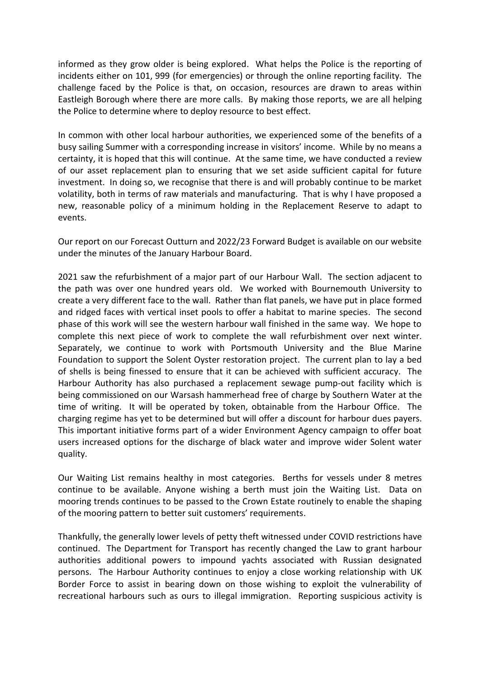informed as they grow older is being explored. What helps the Police is the reporting of incidents either on 101, 999 (for emergencies) or through the online reporting facility. The challenge faced by the Police is that, on occasion, resources are drawn to areas within Eastleigh Borough where there are more calls. By making those reports, we are all helping the Police to determine where to deploy resource to best effect.

In common with other local harbour authorities, we experienced some of the benefits of a busy sailing Summer with a corresponding increase in visitors' income. While by no means a certainty, it is hoped that this will continue. At the same time, we have conducted a review of our asset replacement plan to ensuring that we set aside sufficient capital for future investment. In doing so, we recognise that there is and will probably continue to be market volatility, both in terms of raw materials and manufacturing. That is why I have proposed a new, reasonable policy of a minimum holding in the Replacement Reserve to adapt to events.

Our report on our Forecast Outturn and 2022/23 Forward Budget is available on our website under the minutes of the January Harbour Board.

2021 saw the refurbishment of a major part of our Harbour Wall. The section adjacent to the path was over one hundred years old. We worked with Bournemouth University to create a very different face to the wall. Rather than flat panels, we have put in place formed and ridged faces with vertical inset pools to offer a habitat to marine species. The second phase of this work will see the western harbour wall finished in the same way. We hope to complete this next piece of work to complete the wall refurbishment over next winter. Separately, we continue to work with Portsmouth University and the Blue Marine Foundation to support the Solent Oyster restoration project. The current plan to lay a bed of shells is being finessed to ensure that it can be achieved with sufficient accuracy. The Harbour Authority has also purchased a replacement sewage pump-out facility which is being commissioned on our Warsash hammerhead free of charge by Southern Water at the time of writing. It will be operated by token, obtainable from the Harbour Office. The charging regime has yet to be determined but will offer a discount for harbour dues payers. This important initiative forms part of a wider Environment Agency campaign to offer boat users increased options for the discharge of black water and improve wider Solent water quality.

Our Waiting List remains healthy in most categories. Berths for vessels under 8 metres continue to be available. Anyone wishing a berth must join the Waiting List. Data on mooring trends continues to be passed to the Crown Estate routinely to enable the shaping of the mooring pattern to better suit customers' requirements.

Thankfully, the generally lower levels of petty theft witnessed under COVID restrictions have continued. The Department for Transport has recently changed the Law to grant harbour authorities additional powers to impound yachts associated with Russian designated persons. The Harbour Authority continues to enjoy a close working relationship with UK Border Force to assist in bearing down on those wishing to exploit the vulnerability of recreational harbours such as ours to illegal immigration. Reporting suspicious activity is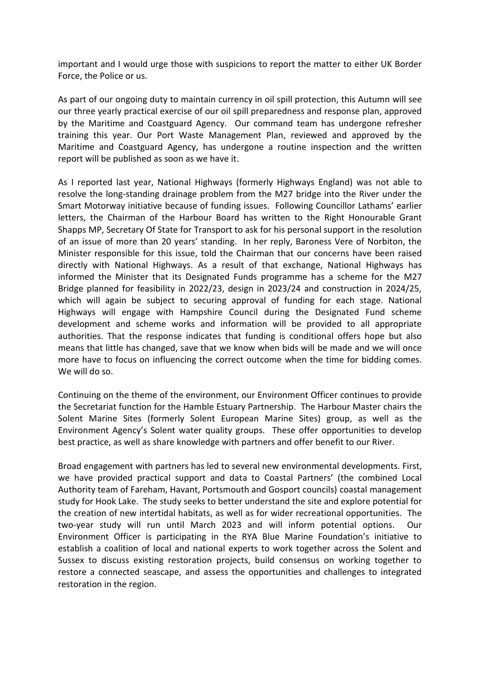important and I would urge those with suspicions to report the matter to either UK Border Force, the Police or us.

As part of our ongoing duty to maintain currency in oil spill protection, this Autumn will see our three yearly practical exercise of our oil spill preparedness and response plan, approved by the Maritime and Coastguard Agency. Our command team has undergone refresher training this year. Our Port Waste Management Plan, reviewed and approved by the Maritime and Coastguard Agency, has undergone a routine inspection and the written report will be published as soon as we have it.

As I reported last year, National Highways (formerly Highways England) was not able to resolve the long-standing drainage problem from the M27 bridge into the River under the Smart Motorway initiative because of funding issues. Following Councillor Lathams' earlier letters, the Chairman of the Harbour Board has written to the Right Honourable Grant Shapps MP, Secretary Of State for Transport to ask for his personal support in the resolution of an issue of more than 20 years' standing. In her reply, Baroness Vere of Norbiton, the Minister responsible for this issue, told the Chairman that our concerns have been raised directly with National Highways. As a result of that exchange, National Highways has informed the Minister that its Designated Funds programme has a scheme for the M27 Bridge planned for feasibility in 2022/23, design in 2023/24 and construction in 2024/25, which will again be subject to securing approval of funding for each stage. National Highways will engage with Hampshire Council during the Designated Fund scheme development and scheme works and information will be provided to all appropriate authorities. That the response indicates that funding is conditional offers hope but also means that little has changed, save that we know when bids will be made and we will once more have to focus on influencing the correct outcome when the time for bidding comes. We will do so.

Continuing on the theme of the environment, our Environment Officer continues to provide the Secretariat function for the Hamble Estuary Partnership. The Harbour Master chairs the Solent Marine Sites (formerly Solent European Marine Sites) group, as well as the Environment Agency's Solent water quality groups. These offer opportunities to develop best practice, as well as share knowledge with partners and offer benefit to our River.

Broad engagement with partners has led to several new environmental developments. First, we have provided practical support and data to Coastal Partners' (the combined Local Authority team of Fareham, Havant, Portsmouth and Gosport councils) coastal management study for Hook Lake. The study seeks to better understand the site and explore potential for the creation of new intertidal habitats, as well as for wider recreational opportunities. The two-year study will run until March 2023 and will inform potential options. Our Environment Officer is participating in the RYA Blue Marine Foundation's initiative to establish a coalition of local and national experts to work together across the Solent and Sussex to discuss existing restoration projects, build consensus on working together to restore a connected seascape, and assess the opportunities and challenges to integrated restoration in the region.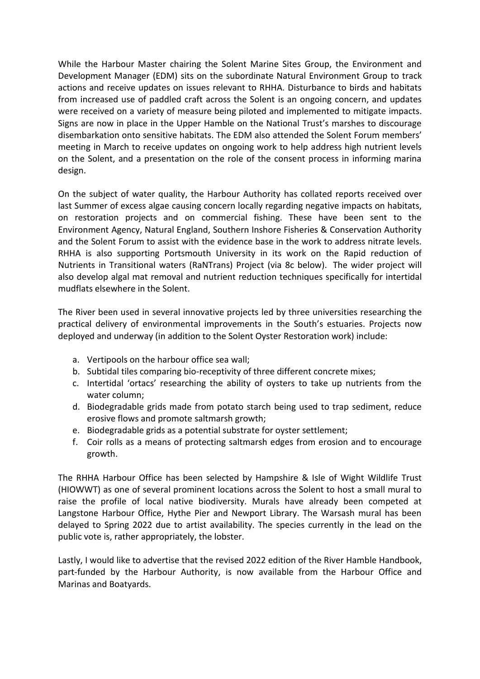While the Harbour Master chairing the Solent Marine Sites Group, the Environment and Development Manager (EDM) sits on the subordinate Natural Environment Group to track actions and receive updates on issues relevant to RHHA. Disturbance to birds and habitats from increased use of paddled craft across the Solent is an ongoing concern, and updates were received on a variety of measure being piloted and implemented to mitigate impacts. Signs are now in place in the Upper Hamble on the National Trust's marshes to discourage disembarkation onto sensitive habitats. The EDM also attended the Solent Forum members' meeting in March to receive updates on ongoing work to help address high nutrient levels on the Solent, and a presentation on the role of the consent process in informing marina design.

On the subject of water quality, the Harbour Authority has collated reports received over last Summer of excess algae causing concern locally regarding negative impacts on habitats, on restoration projects and on commercial fishing. These have been sent to the Environment Agency, Natural England, Southern Inshore Fisheries & Conservation Authority and the Solent Forum to assist with the evidence base in the work to address nitrate levels. RHHA is also supporting Portsmouth University in its work on the Rapid reduction of Nutrients in Transitional waters (RaNTrans) Project (via 8c below). The wider project will also develop algal mat removal and nutrient reduction techniques specifically for intertidal mudflats elsewhere in the Solent.

The River been used in several innovative projects led by three universities researching the practical delivery of environmental improvements in the South's estuaries. Projects now deployed and underway (in addition to the Solent Oyster Restoration work) include:

- a. Vertipools on the harbour office sea wall;
- b. Subtidal tiles comparing bio-receptivity of three different concrete mixes;
- c. Intertidal 'ortacs' researching the ability of oysters to take up nutrients from the water column;
- d. Biodegradable grids made from potato starch being used to trap sediment, reduce erosive flows and promote saltmarsh growth;
- e. Biodegradable grids as a potential substrate for oyster settlement;
- f. Coir rolls as a means of protecting saltmarsh edges from erosion and to encourage growth.

The RHHA Harbour Office has been selected by Hampshire & Isle of Wight Wildlife Trust (HIOWWT) as one of several prominent locations across the Solent to host a small mural to raise the profile of local native biodiversity. Murals have already been competed at Langstone Harbour Office, Hythe Pier and Newport Library. The Warsash mural has been delayed to Spring 2022 due to artist availability. The species currently in the lead on the public vote is, rather appropriately, the lobster.

Lastly, I would like to advertise that the revised 2022 edition of the River Hamble Handbook, part-funded by the Harbour Authority, is now available from the Harbour Office and Marinas and Boatyards.